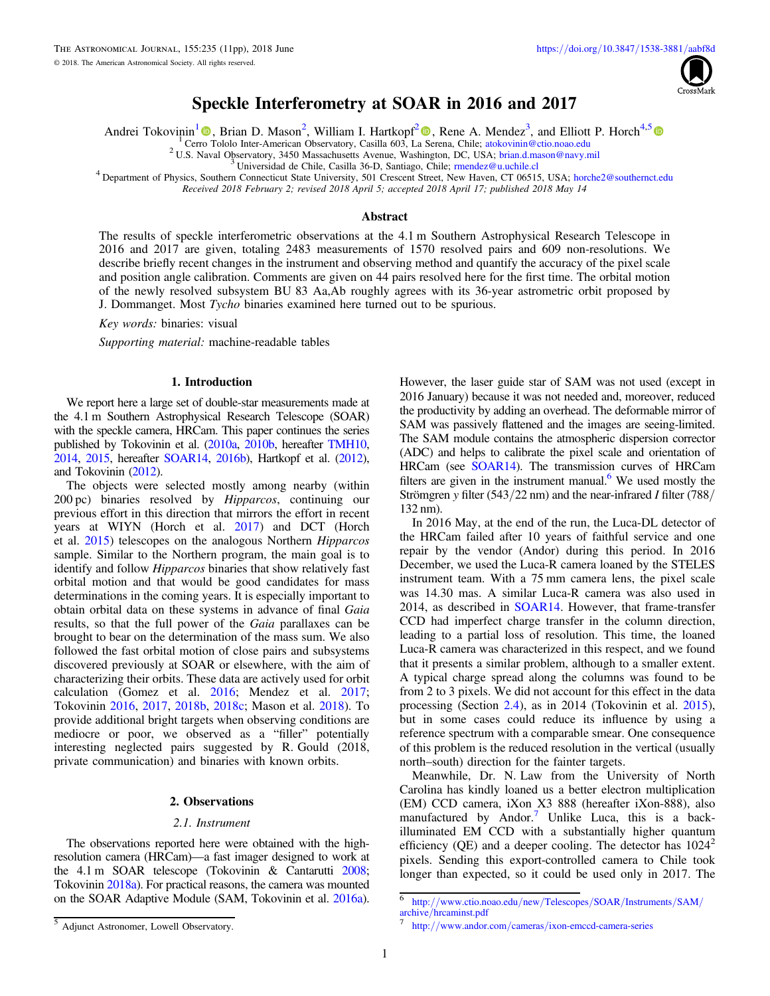

# Speckle Interferometry at SOAR in 2016 and 2017

<span id="page-0-0"></span>Andrei Tokovinin<sup>[1](https://orcid.org/0000-0002-2084-0782)</sup> (**D**[,](https://orcid.org/0000-0001-6111-4560) Brian D. Mason<sup>[2](https://orcid.org/0000-0001-6111-4560)</sup>, William I. Hartkopf<sup>2</sup> (**D**, Rene A. Mendez<sup>3</sup>, and Elliott P. Horch<sup>4,[5](https://orcid.org/0000-0003-2159-1463)</sup>

<sup>1</sup> Cer[ro](https://orcid.org/0000-0002-2084-0782) [T](https://orcid.org/0000-0002-2084-0782)ololo Inter-Americ[a](https://orcid.org/0000-0001-6111-4560)n Observatory, Casilla 603, La [S](https://orcid.org/0000-0001-6111-4560)erena, Chile; [atokovinin@ctio.noao.edu](mailto:atokovinin@ctio.noao.edu)<br><sup>2</sup> U.S. Naval Observatory, 3450 Massachusetts Avenue, Washington, DC, USA; [brian.d.mason@navy.mil](mailto:brian.d.mason@navy.mil)<br><sup>3</sup> Universidad de Chi

Received 2018 February 2; revised 2018 April 5; accepted 2018 April 17; published 2018 May 14

## Abstract

The results of speckle interferometric observations at the 4.1 m Southern Astrophysical Research Telescope in 2016 and 2017 are given, totaling 2483 measurements of 1570 resolved pairs and 609 non-resolutions. We describe briefly recent changes in the instrument and observing method and quantify the accuracy of the pixel scale and position angle calibration. Comments are given on 44 pairs resolved here for the first time. The orbital motion of the newly resolved subsystem BU 83 Aa,Ab roughly agrees with its 36-year astrometric orbit proposed by J. Dommanget. Most Tycho binaries examined here turned out to be spurious.

Key words: binaries: visual

Supporting material: machine-readable tables

# 1. Introduction

We report here a large set of double-star measurements made at the 4.1 m Southern Astrophysical Research Telescope (SOAR) with the speckle camera, HRCam. This paper continues the series published by Tokovinin et al. ([2010a](#page-10-0), [2010b](#page-10-0), hereafter [TMH10,](#page-10-0) [2014,](#page-10-0) [2015](#page-10-0), hereafter [SOAR14](#page-10-0), [2016b](#page-10-0)), Hartkopf et al. ([2012](#page-9-0)), and Tokovinin ([2012](#page-9-0)).

The objects were selected mostly among nearby (within 200 pc) binaries resolved by Hipparcos, continuing our previous effort in this direction that mirrors the effort in recent years at WIYN (Horch et al. [2017](#page-9-0)) and DCT (Horch et al. [2015](#page-9-0)) telescopes on the analogous Northern Hipparcos sample. Similar to the Northern program, the main goal is to identify and follow Hipparcos binaries that show relatively fast orbital motion and that would be good candidates for mass determinations in the coming years. It is especially important to obtain orbital data on these systems in advance of final Gaia results, so that the full power of the Gaia parallaxes can be brought to bear on the determination of the mass sum. We also followed the fast orbital motion of close pairs and subsystems discovered previously at SOAR or elsewhere, with the aim of characterizing their orbits. These data are actively used for orbit calculation (Gomez et al. [2016](#page-9-0); Mendez et al. [2017](#page-9-0); Tokovinin [2016,](#page-9-0) [2017](#page-9-0), [2018b](#page-9-0), [2018c](#page-9-0); Mason et al. [2018](#page-9-0)). To provide additional bright targets when observing conditions are mediocre or poor, we observed as a "filler" potentially interesting neglected pairs suggested by R. Gould (2018, private communication) and binaries with known orbits.

# 2. Observations

## 2.1. Instrument

The observations reported here were obtained with the highresolution camera (HRCam)—a fast imager designed to work at the 4.1 m SOAR telescope (Tokovinin & Cantarutti [2008](#page-10-0); Tokovinin [2018a](#page-9-0)). For practical reasons, the camera was mounted on the SOAR Adaptive Module (SAM, Tokovinin et al. [2016a](#page-10-0)).

However, the laser guide star of SAM was not used (except in 2016 January) because it was not needed and, moreover, reduced the productivity by adding an overhead. The deformable mirror of SAM was passively flattened and the images are seeing-limited. The SAM module contains the atmospheric dispersion corrector (ADC) and helps to calibrate the pixel scale and orientation of HRCam (see [SOAR14](#page-10-0)). The transmission curves of HRCam filters are given in the instrument manual.<sup>6</sup> We used mostly the Strömgren y filter (543/22 nm) and the near-infrared I filter (788/ 132 nm).

In 2016 May, at the end of the run, the Luca-DL detector of the HRCam failed after 10 years of faithful service and one repair by the vendor (Andor) during this period. In 2016 December, we used the Luca-R camera loaned by the STELES instrument team. With a 75 mm camera lens, the pixel scale was 14.30 mas. A similar Luca-R camera was also used in 2014, as described in [SOAR14.](#page-10-0) However, that frame-transfer CCD had imperfect charge transfer in the column direction, leading to a partial loss of resolution. This time, the loaned Luca-R camera was characterized in this respect, and we found that it presents a similar problem, although to a smaller extent. A typical charge spread along the columns was found to be from 2 to 3 pixels. We did not account for this effect in the data processing (Section [2.4](#page-2-0)), as in 2014 (Tokovinin et al. [2015](#page-10-0)), but in some cases could reduce its influence by using a reference spectrum with a comparable smear. One consequence of this problem is the reduced resolution in the vertical (usually north–south) direction for the fainter targets.

Meanwhile, Dr. N. Law from the University of North Carolina has kindly loaned us a better electron multiplication (EM) CCD camera, iXon X3 888 (hereafter iXon-888), also manufactured by Andor.<sup>7</sup> Unlike Luca, this is a backilluminated EM CCD with a substantially higher quantum efficiency (QE) and a deeper cooling. The detector has  $1024<sup>2</sup>$ pixels. Sending this export-controlled camera to Chile took longer than expected, so it could be used only in 2017. The

 $^6$ http://[www.ctio.noao.edu](http://www.ctio.noao.edu/new/Telescopes/SOAR/Instruments/SAM/archive/hrcaminst.pdf)/new/Telescopes/SOAR/Instruments/SAM/archive/hrcaminst.pdf

<sup>5</sup> Adjunct Astronomer, Lowell Observatory.

http://www.andor.com/cameras/[ixon-emccd-camera-series](http://www.andor.com/cameras/ixon-emccd-camera-series)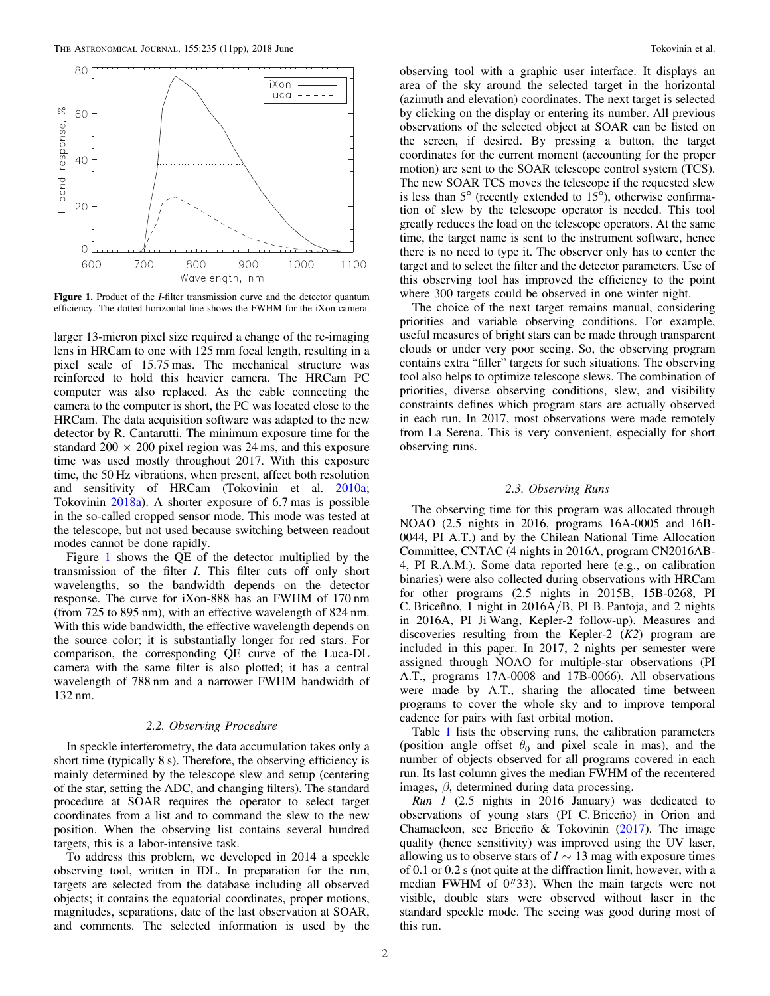

Figure 1. Product of the *I*-filter transmission curve and the detector quantum efficiency. The dotted horizontal line shows the FWHM for the iXon camera.

larger 13-micron pixel size required a change of the re-imaging lens in HRCam to one with 125 mm focal length, resulting in a pixel scale of 15.75 mas. The mechanical structure was reinforced to hold this heavier camera. The HRCam PC computer was also replaced. As the cable connecting the camera to the computer is short, the PC was located close to the HRCam. The data acquisition software was adapted to the new detector by R. Cantarutti. The minimum exposure time for the standard  $200 \times 200$  pixel region was 24 ms, and this exposure time was used mostly throughout 2017. With this exposure time, the 50 Hz vibrations, when present, affect both resolution and sensitivity of HRCam (Tokovinin et al. [2010a](#page-10-0); Tokovinin [2018a](#page-9-0)). A shorter exposure of 6.7 mas is possible in the so-called cropped sensor mode. This mode was tested at the telescope, but not used because switching between readout modes cannot be done rapidly.

Figure 1 shows the QE of the detector multiplied by the transmission of the filter I. This filter cuts off only short wavelengths, so the bandwidth depends on the detector response. The curve for iXon-888 has an FWHM of 170 nm (from 725 to 895 nm), with an effective wavelength of 824 nm. With this wide bandwidth, the effective wavelength depends on the source color; it is substantially longer for red stars. For comparison, the corresponding QE curve of the Luca-DL camera with the same filter is also plotted; it has a central wavelength of 788 nm and a narrower FWHM bandwidth of 132 nm.

# 2.2. Observing Procedure

In speckle interferometry, the data accumulation takes only a short time (typically 8 s). Therefore, the observing efficiency is mainly determined by the telescope slew and setup (centering of the star, setting the ADC, and changing filters). The standard procedure at SOAR requires the operator to select target coordinates from a list and to command the slew to the new position. When the observing list contains several hundred targets, this is a labor-intensive task.

To address this problem, we developed in 2014 a speckle observing tool, written in IDL. In preparation for the run, targets are selected from the database including all observed objects; it contains the equatorial coordinates, proper motions, magnitudes, separations, date of the last observation at SOAR, and comments. The selected information is used by the

observing tool with a graphic user interface. It displays an area of the sky around the selected target in the horizontal (azimuth and elevation) coordinates. The next target is selected by clicking on the display or entering its number. All previous observations of the selected object at SOAR can be listed on the screen, if desired. By pressing a button, the target coordinates for the current moment (accounting for the proper motion) are sent to the SOAR telescope control system (TCS). The new SOAR TCS moves the telescope if the requested slew is less than  $5^\circ$  (recently extended to  $15^\circ$ ), otherwise confirmation of slew by the telescope operator is needed. This tool greatly reduces the load on the telescope operators. At the same time, the target name is sent to the instrument software, hence there is no need to type it. The observer only has to center the target and to select the filter and the detector parameters. Use of this observing tool has improved the efficiency to the point where 300 targets could be observed in one winter night.

The choice of the next target remains manual, considering priorities and variable observing conditions. For example, useful measures of bright stars can be made through transparent clouds or under very poor seeing. So, the observing program contains extra "filler" targets for such situations. The observing tool also helps to optimize telescope slews. The combination of priorities, diverse observing conditions, slew, and visibility constraints defines which program stars are actually observed in each run. In 2017, most observations were made remotely from La Serena. This is very convenient, especially for short observing runs.

# 2.3. Observing Runs

The observing time for this program was allocated through NOAO (2.5 nights in 2016, programs 16A-0005 and 16B-0044, PI A.T.) and by the Chilean National Time Allocation Committee, CNTAC (4 nights in 2016A, program CN2016AB-4, PI R.A.M.). Some data reported here (e.g., on calibration binaries) were also collected during observations with HRCam for other programs (2.5 nights in 2015B, 15B-0268, PI C. Briceñno, 1 night in 2016A/B, PI B. Pantoja, and 2 nights in 2016A, PI Ji Wang, Kepler-2 follow-up). Measures and discoveries resulting from the Kepler-2  $(K2)$  program are included in this paper. In 2017, 2 nights per semester were assigned through NOAO for multiple-star observations (PI A.T., programs 17A-0008 and 17B-0066). All observations were made by A.T., sharing the allocated time between programs to cover the whole sky and to improve temporal cadence for pairs with fast orbital motion.

Table [1](#page-2-0) lists the observing runs, the calibration parameters (position angle offset  $\theta_0$  and pixel scale in mas), and the number of objects observed for all programs covered in each run. Its last column gives the median FWHM of the recentered images, β, determined during data processing.

Run 1 (2.5 nights in 2016 January) was dedicated to observations of young stars (PI C. Briceño) in Orion and Chamaeleon, see Briceño & Tokovinin ([2017](#page-9-0)). The image quality (hence sensitivity) was improved using the UV laser, allowing us to observe stars of  $I \sim 13$  mag with exposure times of 0.1 or 0.2 s (not quite at the diffraction limit, however, with a median FWHM of  $0''33$ ). When the main targets were not visible, double stars were observed without laser in the standard speckle mode. The seeing was good during most of this run.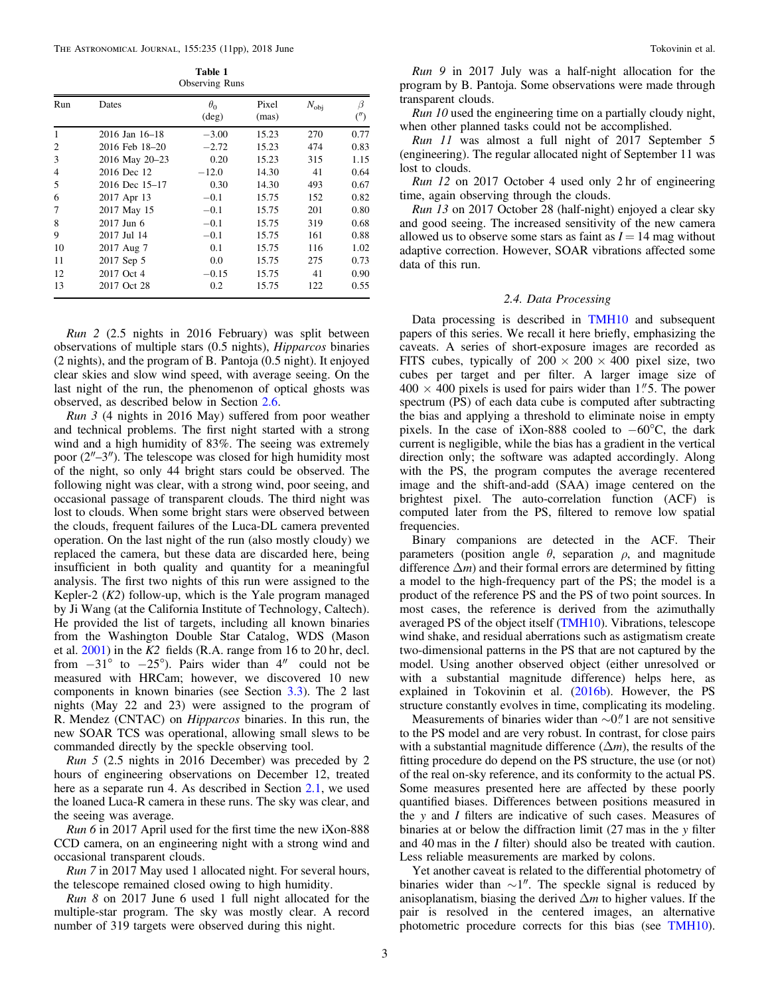Table 1 Observing Runs

<span id="page-2-0"></span>

| Run | Dates          | $\theta_0$<br>$(\text{deg})$ | Pixel<br>(mas) | $N_{\rm{obj}}$ | β<br>$($ ") |
|-----|----------------|------------------------------|----------------|----------------|-------------|
| 1   | 2016 Jan 16–18 | $-3.00$                      | 15.23          | 270            | 0.77        |
| 2   | 2016 Feb 18-20 | $-2.72$                      | 15.23          | 474            | 0.83        |
| 3   | 2016 May 20-23 | 0.20                         | 15.23          | 315            | 1.15        |
| 4   | 2016 Dec 12    | $-12.0$                      | 14.30          | 41             | 0.64        |
| 5   | 2016 Dec 15-17 | 0.30                         | 14.30          | 493            | 0.67        |
| 6   | 2017 Apr 13    | $-0.1$                       | 15.75          | 152            | 0.82        |
| 7   | 2017 May 15    | $-0.1$                       | 15.75          | 201            | 0.80        |
| 8   | $2017$ Jun 6   | $-0.1$                       | 15.75          | 319            | 0.68        |
| 9   | 2017 Jul 14    | $-0.1$                       | 15.75          | 161            | 0.88        |
| 10  | 2017 Aug 7     | 0.1                          | 15.75          | 116            | 1.02        |
| 11  | 2017 Sep 5     | 0.0                          | 15.75          | 275            | 0.73        |
| 12  | 2017 Oct 4     | $-0.15$                      | 15.75          | 41             | 0.90        |
| 13  | 2017 Oct 28    | 0.2                          | 15.75          | 122            | 0.55        |

Run 2 (2.5 nights in 2016 February) was split between observations of multiple stars (0.5 nights), Hipparcos binaries (2 nights), and the program of B. Pantoja (0.5 night). It enjoyed clear skies and slow wind speed, with average seeing. On the last night of the run, the phenomenon of optical ghosts was observed, as described below in Section [2.6.](#page-3-0)

Run 3 (4 nights in 2016 May) suffered from poor weather and technical problems. The first night started with a strong wind and a high humidity of 83%. The seeing was extremely poor (2″–3″). The telescope was closed for high humidity most of the night, so only 44 bright stars could be observed. The following night was clear, with a strong wind, poor seeing, and occasional passage of transparent clouds. The third night was lost to clouds. When some bright stars were observed between the clouds, frequent failures of the Luca-DL camera prevented operation. On the last night of the run (also mostly cloudy) we replaced the camera, but these data are discarded here, being insufficient in both quality and quantity for a meaningful analysis. The first two nights of this run were assigned to the Kepler-2  $(K2)$  follow-up, which is the Yale program managed by Ji Wang (at the California Institute of Technology, Caltech). He provided the list of targets, including all known binaries from the Washington Double Star Catalog, WDS (Mason et al.  $2001$ ) in the K2 fields (R.A. range from 16 to 20 hr, decl. from  $-31^\circ$  to  $-25^\circ$ ). Pairs wider than 4" could not be measured with HRCam; however, we discovered 10 new components in known binaries (see Section [3.3](#page-5-0)). The 2 last nights (May 22 and 23) were assigned to the program of R. Mendez (CNTAC) on Hipparcos binaries. In this run, the new SOAR TCS was operational, allowing small slews to be commanded directly by the speckle observing tool.

Run 5 (2.5 nights in 2016 December) was preceded by 2 hours of engineering observations on December 12, treated here as a separate run 4. As described in Section [2.1](#page-0-0), we used the loaned Luca-R camera in these runs. The sky was clear, and the seeing was average.

Run 6 in 2017 April used for the first time the new iXon-888 CCD camera, on an engineering night with a strong wind and occasional transparent clouds.

Run 7 in 2017 May used 1 allocated night. For several hours, the telescope remained closed owing to high humidity.

Run 8 on 2017 June 6 used 1 full night allocated for the multiple-star program. The sky was mostly clear. A record number of 319 targets were observed during this night.

Run 9 in 2017 July was a half-night allocation for the program by B. Pantoja. Some observations were made through transparent clouds.

Run 10 used the engineering time on a partially cloudy night, when other planned tasks could not be accomplished.

Run 11 was almost a full night of 2017 September 5 (engineering). The regular allocated night of September 11 was lost to clouds.

Run 12 on 2017 October 4 used only 2 hr of engineering time, again observing through the clouds.

Run 13 on 2017 October 28 (half-night) enjoyed a clear sky and good seeing. The increased sensitivity of the new camera allowed us to observe some stars as faint as  $I = 14$  mag without adaptive correction. However, SOAR vibrations affected some data of this run.

# 2.4. Data Processing

Data processing is described in [TMH10](#page-10-0) and subsequent papers of this series. We recall it here briefly, emphasizing the caveats. A series of short-exposure images are recorded as FITS cubes, typically of  $200 \times 200 \times 400$  pixel size, two cubes per target and per filter. A larger image size of  $400 \times 400$  pixels is used for pairs wider than 1.75. The power spectrum (PS) of each data cube is computed after subtracting the bias and applying a threshold to eliminate noise in empty pixels. In the case of iXon-888 cooled to −60°C, the dark current is negligible, while the bias has a gradient in the vertical direction only; the software was adapted accordingly. Along with the PS, the program computes the average recentered image and the shift-and-add (SAA) image centered on the brightest pixel. The auto-correlation function (ACF) is computed later from the PS, filtered to remove low spatial frequencies.

Binary companions are detected in the ACF. Their parameters (position angle  $\theta$ , separation  $\rho$ , and magnitude difference  $\Delta m$ ) and their formal errors are determined by fitting a model to the high-frequency part of the PS; the model is a product of the reference PS and the PS of two point sources. In most cases, the reference is derived from the azimuthally averaged PS of the object itself ([TMH10](#page-10-0)). Vibrations, telescope wind shake, and residual aberrations such as astigmatism create two-dimensional patterns in the PS that are not captured by the model. Using another observed object (either unresolved or with a substantial magnitude difference) helps here, as explained in Tokovinin et al. ([2016b](#page-10-0)). However, the PS structure constantly evolves in time, complicating its modeling.

Measurements of binaries wider than  $\sim$ 0." 1 are not sensitive to the PS model and are very robust. In contrast, for close pairs with a substantial magnitude difference  $(\Delta m)$ , the results of the fitting procedure do depend on the PS structure, the use (or not) of the real on-sky reference, and its conformity to the actual PS. Some measures presented here are affected by these poorly quantified biases. Differences between positions measured in the y and I filters are indicative of such cases. Measures of binaries at or below the diffraction limit (27 mas in the y filter and 40 mas in the I filter) should also be treated with caution. Less reliable measurements are marked by colons.

Yet another caveat is related to the differential photometry of binaries wider than ∼1″. The speckle signal is reduced by anisoplanatism, biasing the derived  $\Delta m$  to higher values. If the pair is resolved in the centered images, an alternative photometric procedure corrects for this bias (see [TMH10](#page-10-0)).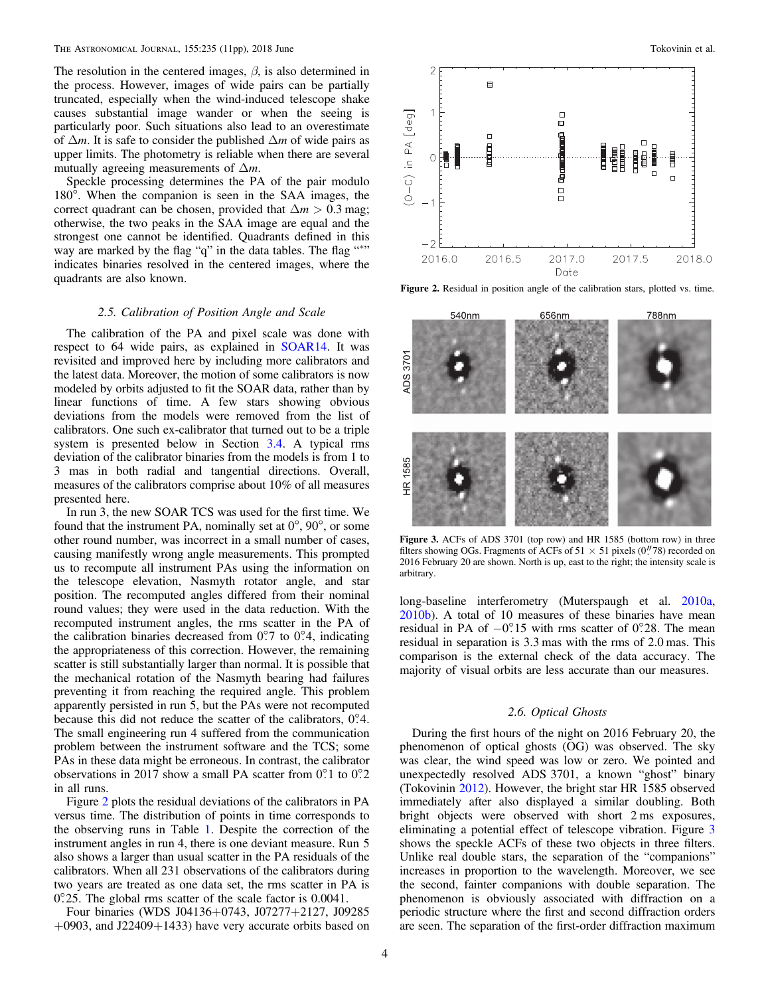<span id="page-3-0"></span>The resolution in the centered images,  $\beta$ , is also determined in the process. However, images of wide pairs can be partially truncated, especially when the wind-induced telescope shake causes substantial image wander or when the seeing is particularly poor. Such situations also lead to an overestimate of  $\Delta m$ . It is safe to consider the published  $\Delta m$  of wide pairs as upper limits. The photometry is reliable when there are several mutually agreeing measurements of  $\Delta m$ .

Speckle processing determines the PA of the pair modulo 180°. When the companion is seen in the SAA images, the correct quadrant can be chosen, provided that  $\Delta m > 0.3$  mag; otherwise, the two peaks in the SAA image are equal and the strongest one cannot be identified. Quadrants defined in this way are marked by the flag "q" in the data tables. The flag "\*" indicates binaries resolved in the centered images, where the quadrants are also known.

# 2.5. Calibration of Position Angle and Scale

The calibration of the PA and pixel scale was done with respect to 64 wide pairs, as explained in [SOAR14](#page-10-0). It was revisited and improved here by including more calibrators and the latest data. Moreover, the motion of some calibrators is now modeled by orbits adjusted to fit the SOAR data, rather than by linear functions of time. A few stars showing obvious deviations from the models were removed from the list of calibrators. One such ex-calibrator that turned out to be a triple system is presented below in Section [3.4.](#page-8-0) A typical rms deviation of the calibrator binaries from the models is from 1 to 3 mas in both radial and tangential directions. Overall, measures of the calibrators comprise about 10% of all measures presented here.

In run 3, the new SOAR TCS was used for the first time. We found that the instrument PA, nominally set at  $0^{\circ}$ ,  $90^{\circ}$ , or some other round number, was incorrect in a small number of cases, causing manifestly wrong angle measurements. This prompted us to recompute all instrument PAs using the information on the telescope elevation, Nasmyth rotator angle, and star position. The recomputed angles differed from their nominal round values; they were used in the data reduction. With the recomputed instrument angles, the rms scatter in the PA of the calibration binaries decreased from  $0^\circ$ .7 to  $0^\circ$ .4, indicating the appropriateness of this correction. However, the remaining scatter is still substantially larger than normal. It is possible that the mechanical rotation of the Nasmyth bearing had failures preventing it from reaching the required angle. This problem apparently persisted in run 5, but the PAs were not recomputed because this did not reduce the scatter of the calibrators,  $0^\circ$ . The small engineering run 4 suffered from the communication problem between the instrument software and the TCS; some PAs in these data might be erroneous. In contrast, the calibrator observations in 2017 show a small PA scatter from 0°.1 to 0°.2 in all runs.

Figure 2 plots the residual deviations of the calibrators in PA versus time. The distribution of points in time corresponds to the observing runs in Table [1.](#page-2-0) Despite the correction of the instrument angles in run 4, there is one deviant measure. Run 5 also shows a larger than usual scatter in the PA residuals of the calibrators. When all 231 observations of the calibrators during two years are treated as one data set, the rms scatter in PA is 0°.25. The global rms scatter of the scale factor is 0.0041.

Four binaries (WDS J04136+0743, J07277+2127, J09285 +0903, and J22409+1433) have very accurate orbits based on



Figure 2. Residual in position angle of the calibration stars, plotted vs. time.



Figure 3. ACFs of ADS 3701 (top row) and HR 1585 (bottom row) in three filters showing OGs. Fragments of ACFs of  $51 \times 51$  pixels (0.78) recorded on 2016 February 20 are shown. North is up, east to the right; the intensity scale is arbitrary.

long-baseline interferometry (Muterspaugh et al. [2010a](#page-9-0), [2010b](#page-9-0)). A total of 10 measures of these binaries have mean residual in PA of  $-0^{\circ}$ 15 with rms scatter of 0°. 28. The mean residual in separation is 3.3 mas with the rms of 2.0 mas. This comparison is the external check of the data accuracy. The majority of visual orbits are less accurate than our measures.

#### 2.6. Optical Ghosts

During the first hours of the night on 2016 February 20, the phenomenon of optical ghosts (OG) was observed. The sky was clear, the wind speed was low or zero. We pointed and unexpectedly resolved ADS 3701, a known "ghost" binary (Tokovinin [2012](#page-9-0)). However, the bright star HR 1585 observed immediately after also displayed a similar doubling. Both bright objects were observed with short 2 ms exposures, eliminating a potential effect of telescope vibration. Figure 3 shows the speckle ACFs of these two objects in three filters. Unlike real double stars, the separation of the "companions" increases in proportion to the wavelength. Moreover, we see the second, fainter companions with double separation. The phenomenon is obviously associated with diffraction on a periodic structure where the first and second diffraction orders are seen. The separation of the first-order diffraction maximum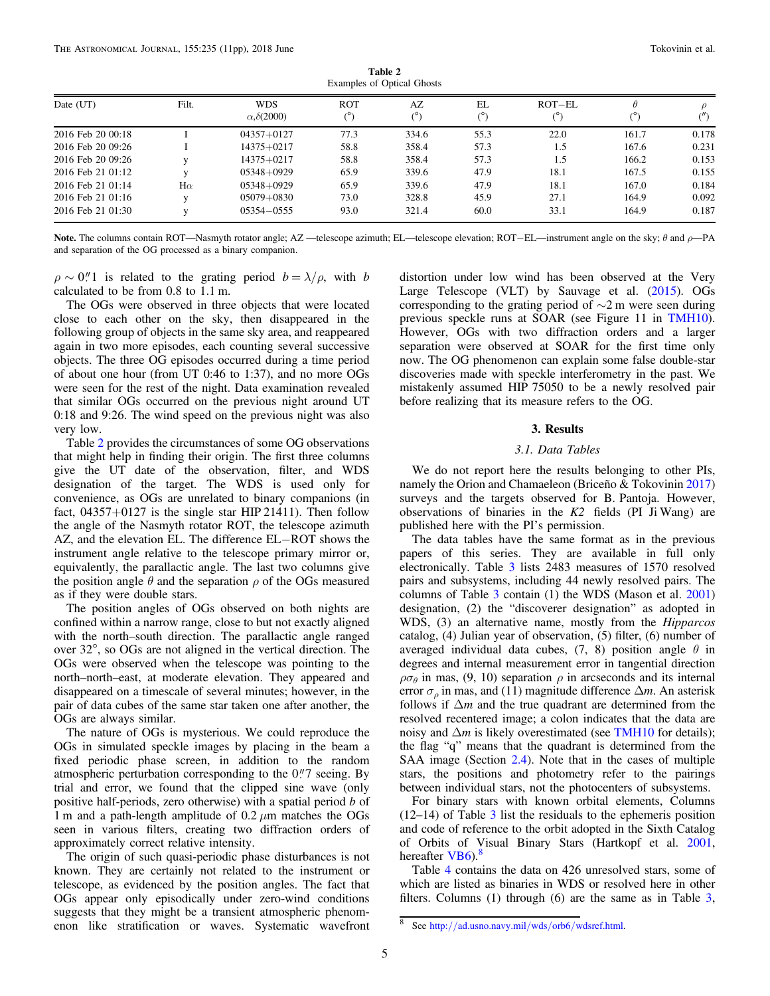| Table 2                           |  |
|-----------------------------------|--|
| <b>Examples of Optical Ghosts</b> |  |

| Date (UT)             | Filt.     | <b>WDS</b>                 | <b>ROT</b> | AZ    | EL         | $ROT-EL$ | Ĥ     |       |
|-----------------------|-----------|----------------------------|------------|-------|------------|----------|-------|-------|
|                       |           | $\alpha$ , $\delta$ (2000) | (°)        |       | $(^\circ)$ |          |       |       |
| 2016 Feb 20 00:18     |           | $04357 + 0127$             | 77.3       | 334.6 | 55.3       | 22.0     | 161.7 | 0.178 |
| 2016 Feb 20 09:26     |           | $14375 + 0217$             | 58.8       | 358.4 | 57.3       | 1.5      | 167.6 | 0.231 |
| 2016 Feb 20 09:26     |           | $14375 + 0217$             | 58.8       | 358.4 | 57.3       | 1.5      | 166.2 | 0.153 |
| $2016$ Feb 21 $01:12$ |           | $05348 + 0929$             | 65.9       | 339.6 | 47.9       | 18.1     | 167.5 | 0.155 |
| 2016 Feb 21 01:14     | $H\alpha$ | $05348 + 0929$             | 65.9       | 339.6 | 47.9       | 18.1     | 167.0 | 0.184 |
| $2016$ Feb 21 01:16   |           | $05079 + 0830$             | 73.0       | 328.8 | 45.9       | 27.1     | 164.9 | 0.092 |
| 2016 Feb 21 01:30     |           | $05354 - 0555$             | 93.0       | 321.4 | 60.0       | 33.1     | 164.9 | 0.187 |

Note. The columns contain ROT—Nasmyth rotator angle; AZ —telescope azimuth; EL—telescope elevation; ROT–EL—instrument angle on the sky; θ and ρ—PA and separation of the OG processed as a binary companion.

 $\rho \sim 0.1$  is related to the grating period  $b = \lambda/\rho$ , with b calculated to be from 0.8 to 1.1 m.

The OGs were observed in three objects that were located close to each other on the sky, then disappeared in the following group of objects in the same sky area, and reappeared again in two more episodes, each counting several successive objects. The three OG episodes occurred during a time period of about one hour (from UT 0:46 to 1:37), and no more OGs were seen for the rest of the night. Data examination revealed that similar OGs occurred on the previous night around UT 0:18 and 9:26. The wind speed on the previous night was also very low.

Table 2 provides the circumstances of some OG observations that might help in finding their origin. The first three columns give the UT date of the observation, filter, and WDS designation of the target. The WDS is used only for convenience, as OGs are unrelated to binary companions (in fact,  $04357+0127$  is the single star HIP 21411). Then follow the angle of the Nasmyth rotator ROT, the telescope azimuth AZ, and the elevation EL. The difference EL−ROT shows the instrument angle relative to the telescope primary mirror or, equivalently, the parallactic angle. The last two columns give the position angle  $\theta$  and the separation  $\rho$  of the OGs measured as if they were double stars.

The position angles of OGs observed on both nights are confined within a narrow range, close to but not exactly aligned with the north–south direction. The parallactic angle ranged over 32°, so OGs are not aligned in the vertical direction. The OGs were observed when the telescope was pointing to the north–north–east, at moderate elevation. They appeared and disappeared on a timescale of several minutes; however, in the pair of data cubes of the same star taken one after another, the OGs are always similar.

The nature of OGs is mysterious. We could reproduce the OGs in simulated speckle images by placing in the beam a fixed periodic phase screen, in addition to the random atmospheric perturbation corresponding to the  $0\rlap.{''}7$  seeing. By trial and error, we found that the clipped sine wave (only positive half-periods, zero otherwise) with a spatial period b of 1 m and a path-length amplitude of  $0.2 \mu$ m matches the OGs seen in various filters, creating two diffraction orders of approximately correct relative intensity.

The origin of such quasi-periodic phase disturbances is not known. They are certainly not related to the instrument or telescope, as evidenced by the position angles. The fact that OGs appear only episodically under zero-wind conditions suggests that they might be a transient atmospheric phenomenon like stratification or waves. Systematic wavefront

distortion under low wind has been observed at the Very Large Telescope (VLT) by Sauvage et al. ([2015](#page-9-0)). OGs corresponding to the grating period of ∼2 m were seen during previous speckle runs at SOAR (see Figure 11 in [TMH10](#page-10-0)). However, OGs with two diffraction orders and a larger separation were observed at SOAR for the first time only now. The OG phenomenon can explain some false double-star discoveries made with speckle interferometry in the past. We mistakenly assumed HIP 75050 to be a newly resolved pair before realizing that its measure refers to the OG.

## 3. Results

# 3.1. Data Tables

We do not report here the results belonging to other PIs, namely the Orion and Chamaeleon (Briceño & Tokovinin [2017](#page-9-0)) surveys and the targets observed for B. Pantoja. However, observations of binaries in the K2 fields (PI Ji Wang) are published here with the PI's permission.

The data tables have the same format as in the previous papers of this series. They are available in full only electronically. Table [3](#page-5-0) lists 2483 measures of 1570 resolved pairs and subsystems, including 44 newly resolved pairs. The columns of Table [3](#page-5-0) contain (1) the WDS (Mason et al. [2001](#page-9-0)) designation, (2) the "discoverer designation" as adopted in WDS, (3) an alternative name, mostly from the Hipparcos catalog, (4) Julian year of observation, (5) filter, (6) number of averaged individual data cubes, (7, 8) position angle  $\theta$  in degrees and internal measurement error in tangential direction  $\rho\sigma_{\theta}$  in mas, (9, 10) separation  $\rho$  in arcseconds and its internal error  $\sigma_{\rho}$  in mas, and (11) magnitude difference  $\Delta m$ . An asterisk follows if  $\Delta m$  and the true quadrant are determined from the resolved recentered image; a colon indicates that the data are noisy and  $\Delta m$  is likely overestimated (see [TMH10](#page-10-0) for details); the flag "q" means that the quadrant is determined from the SAA image (Section [2.4](#page-2-0)). Note that in the cases of multiple stars, the positions and photometry refer to the pairings between individual stars, not the photocenters of subsystems.

For binary stars with known orbital elements, Columns (12–14) of Table [3](#page-5-0) list the residuals to the ephemeris position and code of reference to the orbit adopted in the Sixth Catalog of Orbits of Visual Binary Stars (Hartkopf et al. [2001](#page-9-0), hereofter  $VBS^8$ hereafter [VB6](#page-9-0)).

Table [4](#page-6-0) contains the data on 426 unresolved stars, some of which are listed as binaries in WDS or resolved here in other filters. Columns  $(1)$  through  $(6)$  are the same as in Table [3](#page-5-0),

<sup>8</sup> See http://[ad.usno.navy.mil](http://ad.usno.navy.mil/wds/orb6/wdsref.html)/wds/orb6/wdsref.html.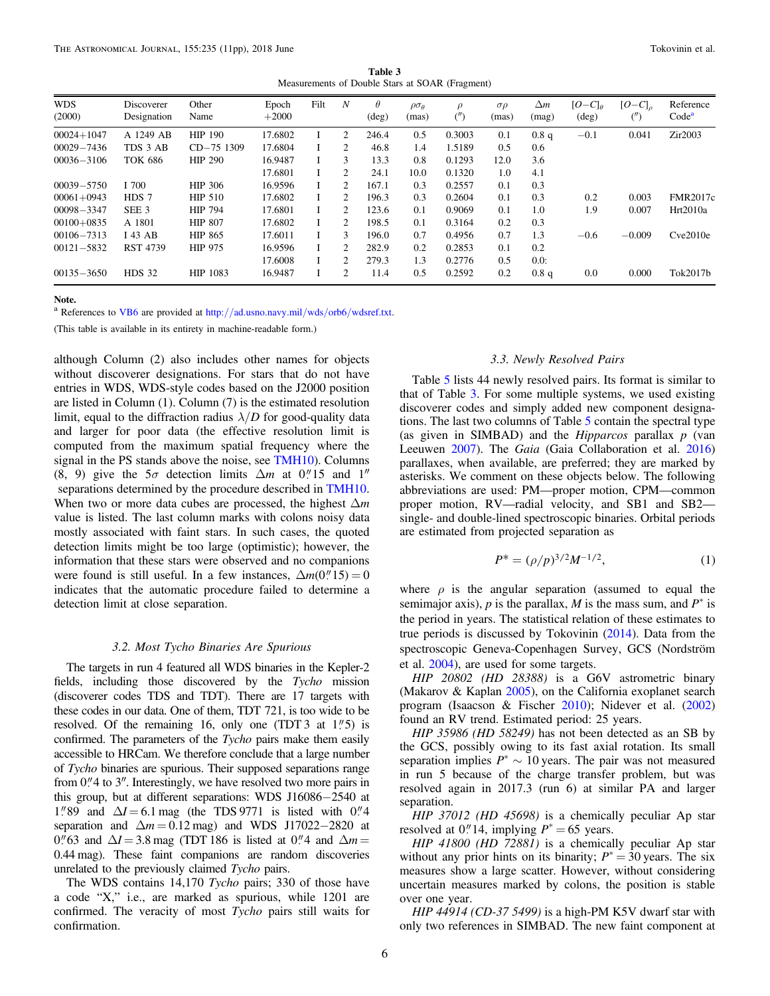Table 3 Measurements of Double Stars at SOAR (Fragment)

<span id="page-5-0"></span>

| <b>WDS</b><br>(2000) | Discoverer<br>Designation | Other<br>Name  | Epoch<br>$+2000$ | Filt | N                           | $\theta$<br>$(\text{deg})$ | $\rho\sigma_{\theta}$<br>(mas) | $\rho$<br>$($ ") | $\sigma \rho$<br>(mas) | $\Delta m$<br>(mag) | $[O-C]_\theta$<br>$(\text{deg})$ | $[O-C]_o$ | Reference<br>Code <sup>a</sup> |
|----------------------|---------------------------|----------------|------------------|------|-----------------------------|----------------------------|--------------------------------|------------------|------------------------|---------------------|----------------------------------|-----------|--------------------------------|
| $00024 + 1047$       | A 1249 AB                 | <b>HIP 190</b> | 17.6802          |      | 2                           | 246.4                      | 0.5                            | 0.3003           | 0.1                    | 0.8 <sub>q</sub>    | $-0.1$                           | 0.041     | Zir2003                        |
| $00029 - 7436$       | TDS 3 AB                  | $CD-75$ 1309   | 17.6804          |      | 2                           | 46.8                       | 1.4                            | 1.5189           | 0.5                    | 0.6                 |                                  |           |                                |
| $00036 - 3106$       | <b>TOK 686</b>            | <b>HIP 290</b> | 16.9487          |      | 3                           | 13.3                       | 0.8                            | 0.1293           | 12.0                   | 3.6                 |                                  |           |                                |
|                      |                           |                | 17.6801          |      | 2                           | 24.1                       | 10.0                           | 0.1320           | 1.0                    | 4.1                 |                                  |           |                                |
| $00039 - 5750$       | I 700                     | HIP 306        | 16.9596          |      | $\mathcal{L}$               | 167.1                      | 0.3                            | 0.2557           | 0.1                    | 0.3                 |                                  |           |                                |
| $00061 + 0943$       | HDS 7                     | <b>HIP 510</b> | 17.6802          |      | $\mathfrak{D}$              | 196.3                      | 0.3                            | 0.2604           | 0.1                    | 0.3                 | 0.2                              | 0.003     | <b>FMR2017c</b>                |
| $00098 - 3347$       | SEE 3                     | <b>HIP 794</b> | 17.6801          |      | $\mathfrak{D}$              | 123.6                      | 0.1                            | 0.9069           | 0.1                    | 1.0                 | 1.9                              | 0.007     | Hrt2010a                       |
| $00100+0835$         | A 1801                    | <b>HIP 807</b> | 17.6802          |      | $\mathfrak{D}$              | 198.5                      | 0.1                            | 0.3164           | 0.2                    | 0.3                 |                                  |           |                                |
| $00106 - 7313$       | I 43 AB                   | <b>HIP 865</b> | 17.6011          |      | 3                           | 196.0                      | 0.7                            | 0.4956           | 0.7                    | 1.3                 | $-0.6$                           | $-0.009$  | Cve2010e                       |
| $00121 - 5832$       | <b>RST 4739</b>           | <b>HIP 975</b> | 16.9596          |      | $\mathcal{D}$               | 282.9                      | 0.2                            | 0.2853           | 0.1                    | 0.2                 |                                  |           |                                |
|                      |                           |                | 17.6008          |      | $\mathcal{D}_{\mathcal{L}}$ | 279.3                      | 1.3                            | 0.2776           | 0.5                    | $0.0$ :             |                                  |           |                                |
| $00135 - 3650$       | <b>HDS 32</b>             | HIP 1083       | 16.9487          |      | 2                           | 11.4                       | 0.5                            | 0.2592           | 0.2                    | 0.8q                | 0.0                              | 0.000     | Tok2017b                       |

Note.

<sup>a</sup> References to [VB6](#page-9-0) are provided at http://[ad.usno.navy.mil](http://ad.usno.navy.mil/wds/orb6/wdsref.txt)/wds/orb6/wdsref.txt.

(This table is available in its entirety in machine-readable form.)

although Column (2) also includes other names for objects without discoverer designations. For stars that do not have entries in WDS, WDS-style codes based on the J2000 position are listed in Column (1). Column (7) is the estimated resolution limit, equal to the diffraction radius  $\lambda/D$  for good-quality data and larger for poor data (the effective resolution limit is computed from the maximum spatial frequency where the signal in the PS stands above the noise, see [TMH10](#page-10-0)). Columns (8, 9) give the  $5\sigma$  detection limits  $\Delta m$  at  $0''15$  and  $1''$ separations determined by the procedure described in [TMH10.](#page-10-0) When two or more data cubes are processed, the highest  $\Delta m$ value is listed. The last column marks with colons noisy data mostly associated with faint stars. In such cases, the quoted detection limits might be too large (optimistic); however, the information that these stars were observed and no companions were found is still useful. In a few instances,  $\Delta m(0''15) = 0$ indicates that the automatic procedure failed to determine a detection limit at close separation.

#### 3.2. Most Tycho Binaries Are Spurious

The targets in run 4 featured all WDS binaries in the Kepler-2 fields, including those discovered by the Tycho mission (discoverer codes TDS and TDT). There are 17 targets with these codes in our data. One of them, TDT 721, is too wide to be resolved. Of the remaining 16, only one (TDT 3 at  $1''$ 5) is confirmed. The parameters of the Tycho pairs make them easily accessible to HRCam. We therefore conclude that a large number of Tycho binaries are spurious. Their supposed separations range from  $0$ ." 4 to  $3$ ". Interestingly, we have resolved two more pairs in this group, but at different separations: WDS J16086−2540 at 1."89 and  $\Delta I = 6.1$  mag (the TDS 9771 is listed with 0."4 separation and  $\Delta m = 0.12$  mag) and WDS J17022−2820 at 0."63 and  $\Delta I = 3.8$  mag (TDT 186 is listed at 0."4 and  $\Delta m =$ 0.44 mag). These faint companions are random discoveries unrelated to the previously claimed Tycho pairs.

The WDS contains 14,170 Tycho pairs; 330 of those have a code "X," i.e., are marked as spurious, while 1201 are confirmed. The veracity of most Tycho pairs still waits for confirmation.

# 3.3. Newly Resolved Pairs

Table [5](#page-7-0) lists 44 newly resolved pairs. Its format is similar to that of Table 3. For some multiple systems, we used existing discoverer codes and simply added new component designations. The last two columns of Table [5](#page-7-0) contain the spectral type (as given in SIMBAD) and the  $Hipparcos$  parallax  $p$  (van Leeuwen [2007](#page-10-0)). The Gaia (Gaia Collaboration et al. [2016](#page-9-0)) parallaxes, when available, are preferred; they are marked by asterisks. We comment on these objects below. The following abbreviations are used: PM—proper motion, CPM—common proper motion, RV—radial velocity, and SB1 and SB2 single- and double-lined spectroscopic binaries. Orbital periods are estimated from projected separation as

$$
P^* = (\rho/p)^{3/2} M^{-1/2},\tag{1}
$$

where  $\rho$  is the angular separation (assumed to equal the semimajor axis), p is the parallax, M is the mass sum, and  $P^*$  is the period in years. The statistical relation of these estimates to true periods is discussed by Tokovinin ([2014](#page-9-0)). Data from the spectroscopic Geneva-Copenhagen Survey, GCS (Nordström et al. [2004](#page-9-0)), are used for some targets.

HIP 20802 (HD 28388) is a G6V astrometric binary (Makarov & Kaplan [2005](#page-9-0)), on the California exoplanet search program (Isaacson & Fischer [2010](#page-9-0)); Nidever et al. ([2002](#page-9-0)) found an RV trend. Estimated period: 25 years.

HIP 35986 (HD 58249) has not been detected as an SB by the GCS, possibly owing to its fast axial rotation. Its small separation implies  $P^* \sim 10$  years. The pair was not measured in run 5 because of the charge transfer problem, but was resolved again in 2017.3 (run 6) at similar PA and larger separation.

HIP 37012 (HD 45698) is a chemically peculiar Ap star resolved at 0.'' 14, implying  $P^* = 65$  years.

HIP 41800 (HD 72881) is a chemically peculiar Ap star without any prior hints on its binarity;  $P^* = 30$  years. The six measures show a large scatter. However, without considering uncertain measures marked by colons, the position is stable over one year.

HIP 44914 (CD-37 5499) is a high-PM K5V dwarf star with only two references in SIMBAD. The new faint component at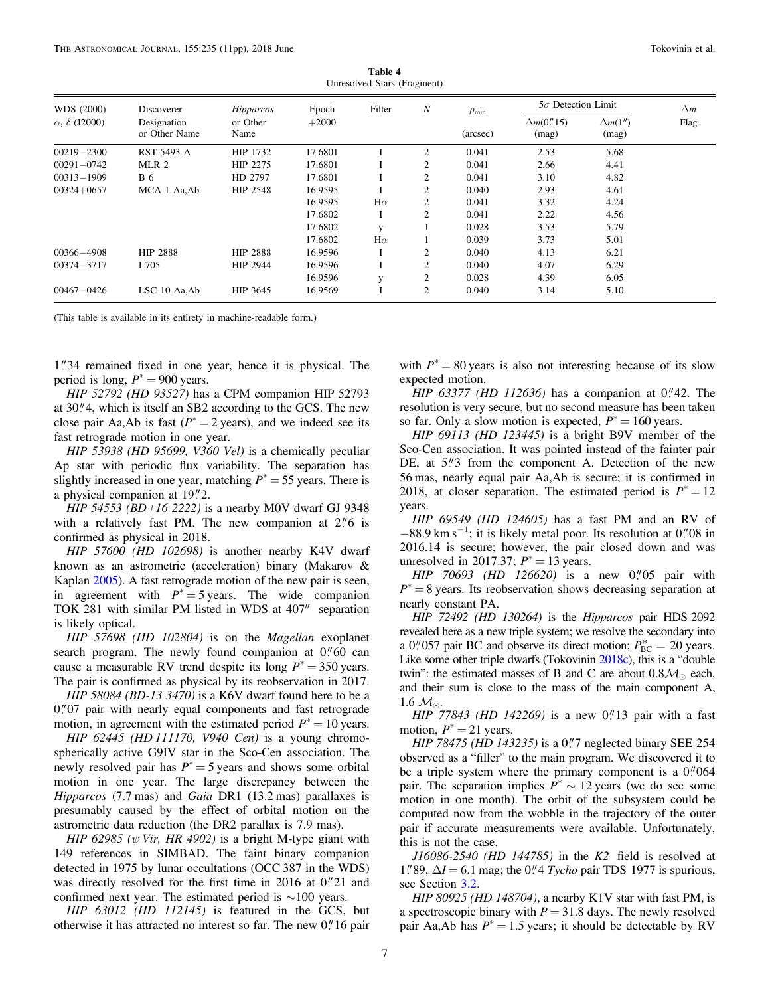| Table 4                     |  |
|-----------------------------|--|
| Unresolved Stars (Fragment) |  |
|                             |  |

<span id="page-6-0"></span>

| WDS (2000)<br>$\alpha$ , $\delta$ (J2000) | Discoverer                   | <i>Hipparcos</i> | Epoch   | Filter       | $\boldsymbol{N}$ | $\rho_{\rm min}$ |                              | $5\sigma$ Detection Limit |                    |
|-------------------------------------------|------------------------------|------------------|---------|--------------|------------------|------------------|------------------------------|---------------------------|--------------------|
|                                           | Designation<br>or Other Name | or Other<br>Name | $+2000$ |              |                  | (arcsec)         | $\Delta m(0.\n$ 15)<br>(mag) | $\Delta m(1'')$<br>(mag)  | $\Delta m$<br>Flag |
| $00219 - 2300$                            | RST 5493 A                   | HIP 1732         | 17.6801 |              | 2                | 0.041            | 2.53                         | 5.68                      |                    |
| $00291 - 0742$                            | MLR 2                        | HIP 2275         | 17.6801 |              | 2                | 0.041            | 2.66                         | 4.41                      |                    |
| $00313 - 1909$                            | <b>B</b> 6                   | HD 2797          | 17.6801 |              | 2                | 0.041            | 3.10                         | 4.82                      |                    |
| $00324 + 0657$                            | MCA 1 Aa, Ab                 | <b>HIP 2548</b>  | 16.9595 |              | $\overline{c}$   | 0.040            | 2.93                         | 4.61                      |                    |
|                                           |                              |                  | 16.9595 | $H\alpha$    | $\overline{2}$   | 0.041            | 3.32                         | 4.24                      |                    |
|                                           |                              |                  | 17.6802 |              | 2                | 0.041            | 2.22                         | 4.56                      |                    |
|                                           |                              |                  | 17.6802 | V            |                  | 0.028            | 3.53                         | 5.79                      |                    |
|                                           |                              |                  | 17.6802 | $H\alpha$    |                  | 0.039            | 3.73                         | 5.01                      |                    |
| 00366-4908                                | <b>HIP 2888</b>              | <b>HIP 2888</b>  | 16.9596 |              | $\mathfrak{2}$   | 0.040            | 4.13                         | 6.21                      |                    |
| $00374 - 3717$                            | I 705                        | HIP 2944         | 16.9596 |              | 2                | 0.040            | 4.07                         | 6.29                      |                    |
|                                           |                              |                  | 16.9596 | $\mathbf{V}$ | $\mathfrak{2}$   | 0.028            | 4.39                         | 6.05                      |                    |
| $00467 - 0426$                            | LSC 10 Aa, Ab                | HIP 3645         | 16.9569 |              | $\overline{c}$   | 0.040            | 3.14                         | 5.10                      |                    |

(This table is available in its entirety in machine-readable form.)

1 34 remained fixed in one year, hence it is physical. The period is long,  $P^* = 900$  years.

HIP 52792 (HD 93527) has a CPM companion HIP 52793 at 30."4, which is itself an SB2 according to the GCS. The new close pair Aa,Ab is fast ( $P^* = 2$  years), and we indeed see its fast retrograde motion in one year.

HIP 53938 (HD 95699, V360 Vel) is a chemically peculiar Ap star with periodic flux variability. The separation has slightly increased in one year, matching  $P^* = 55$  years. There is a physical companion at  $19\rlap.{''}2$ .

HIP 54553 (BD+16 2222) is a nearby M0V dwarf GJ 9348 with a relatively fast PM. The new companion at  $2\rlap.{''}6$  is confirmed as physical in 2018.

HIP 57600 (HD 102698) is another nearby K4V dwarf known as an astrometric (acceleration) binary (Makarov & Kaplan [2005](#page-9-0)). A fast retrograde motion of the new pair is seen, in agreement with  $P^* = 5$  years. The wide companion TOK 281 with similar PM listed in WDS at 407″ separation is likely optical.

HIP 57698 (HD 102804) is on the Magellan exoplanet search program. The newly found companion at  $0''$  60 can cause a measurable RV trend despite its long  $P^* = 350$  years. The pair is confirmed as physical by its reobservation in 2017.

HIP 58084 (BD-13 3470) is a K6V dwarf found here to be a 0."07 pair with nearly equal components and fast retrograde motion, in agreement with the estimated period  $P^* = 10$  years.

HIP 62445 (HD 111170, V940 Cen) is a young chromospherically active G9IV star in the Sco-Cen association. The newly resolved pair has  $P^* = 5$  years and shows some orbital motion in one year. The large discrepancy between the Hipparcos (7.7 mas) and Gaia DR1 (13.2 mas) parallaxes is presumably caused by the effect of orbital motion on the astrometric data reduction (the DR2 parallax is 7.9 mas).

HIP 62985 ( $\psi$  Vir, HR 4902) is a bright M-type giant with 149 references in SIMBAD. The faint binary companion detected in 1975 by lunar occultations (OCC 387 in the WDS) was directly resolved for the first time in 2016 at  $0''21$  and confirmed next year. The estimated period is ∼100 years.

HIP 63012 (HD 112145) is featured in the GCS, but otherwise it has attracted no interest so far. The new  $0''$  16 pair

with  $P^* = 80$  years is also not interesting because of its slow expected motion.

*HIP 63377 (HD 112636)* has a companion at  $0''/42$ . The resolution is very secure, but no second measure has been taken so far. Only a slow motion is expected,  $P^* = 160$  years.

HIP 69113 (HD 123445) is a bright B9V member of the Sco-Cen association. It was pointed instead of the fainter pair DE, at  $5''3$  from the component A. Detection of the new 56 mas, nearly equal pair Aa,Ab is secure; it is confirmed in 2018, at closer separation. The estimated period is  $P^* = 12$ years.

HIP 69549 (HD 124605) has a fast PM and an RV of  $-88.9$  km s<sup>-1</sup>; it is likely metal poor. Its resolution at 0."08 in 2016.14 is secure; however, the pair closed down and was unresolved in 2017.37;  $P^* = 13$  years.

HIP 70693 (HD 126620) is a new  $0''05$  pair with  $P^* = 8$  years. Its reobservation shows decreasing separation at nearly constant PA.

HIP 72492 (HD 130264) is the Hipparcos pair HDS 2092 revealed here as a new triple system; we resolve the secondary into a 0.<sup>*n*</sup> 057 pair BC and observe its direct motion;  $P_{BC}^{*} = 20$  years. Like some other triple dwarfs (Tokovinin [2018c](#page-9-0)), this is a "double twin": the estimated masses of B and C are about  $0.8\mathcal{M}_{\odot}$  each, and their sum is close to the mass of the main component A, 1.6  $\mathcal{M}_{\odot}$ .

*HIP* 77843 (*HD* 142269) is a new  $0''$  13 pair with a fast motion,  $P^* = 21$  years.

HIP 78475 (HD 143235) is a 0.7 neglected binary SEE 254 observed as a "filler" to the main program. We discovered it to be a triple system where the primary component is a  $0$ .  $0$  064 pair. The separation implies  $P^* \sim 12$  years (we do see some motion in one month). The orbit of the subsystem could be computed now from the wobble in the trajectory of the outer pair if accurate measurements were available. Unfortunately, this is not the case.

 $J16086-2540$  (HD  $144785$ ) in the K2 field is resolved at 1."89,  $\Delta I = 6.1$  mag; the 0."4 *Tycho* pair TDS 1977 is spurious, see Section [3.2](#page-5-0).

HIP 80925 (HD 148704), a nearby K1V star with fast PM, is a spectroscopic binary with  $P = 31.8$  days. The newly resolved pair Aa,Ab has  $P^* = 1.5$  years; it should be detectable by RV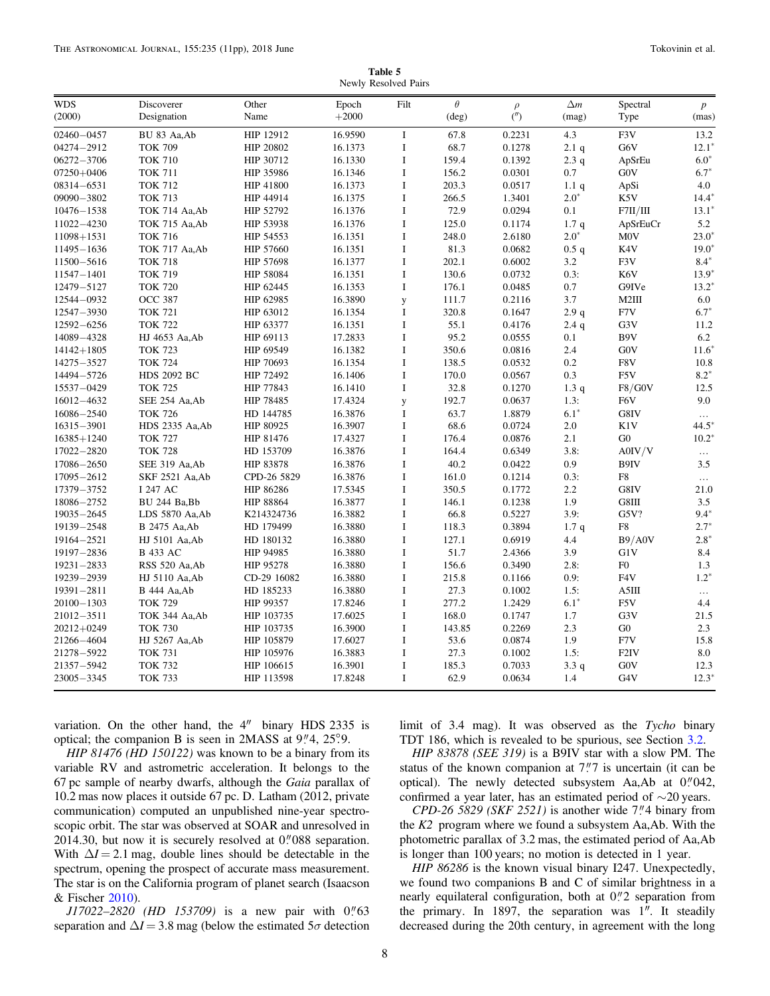Table 5 Newly Resolved Pairs

<span id="page-7-0"></span>

| <b>WDS</b>     | Discoverer           | Other       | Epoch   | Filt        | $\theta$       | $\rho$ | $\Delta m$       | Spectral         | $\boldsymbol{p}$ |
|----------------|----------------------|-------------|---------|-------------|----------------|--------|------------------|------------------|------------------|
| (2000)         | Designation          | Name        | $+2000$ |             | $(\text{deg})$ | (      | (mag)            | Type             | (mas)            |
| $02460 - 0457$ | BU 83 Aa, Ab         | HIP 12912   | 16.9590 | $\bf{I}$    | 67.8           | 0.2231 | 4.3              | F3V              | 13.2             |
| 04274-2912     | <b>TOK 709</b>       | HIP 20802   | 16.1373 | I           | 68.7           | 0.1278 | 2.1q             | G6V              | $12.1*$          |
| $06272 - 3706$ | <b>TOK 710</b>       | HIP 30712   | 16.1330 | $\bf I$     | 159.4          | 0.1392 | 2.3q             | ApSrEu           | $6.0*$           |
| $07250 + 0406$ | <b>TOK 711</b>       | HIP 35986   | 16.1346 | $\rm I$     | 156.2          | 0.0301 | 0.7              | G0V              | $6.7*$           |
| 08314-6531     | <b>TOK 712</b>       | HIP 41800   | 16.1373 | $\rm I$     | 203.3          | 0.0517 | 1.1q             | ApSi             | 4.0              |
| 09090-3802     | <b>TOK 713</b>       | HIP 44914   | 16.1375 | I           | 266.5          | 1.3401 | $2.0*$           | K5V              | $14.4*$          |
| $10476 - 1538$ | TOK 714 Aa, Ab       | HIP 52792   | 16.1376 | $\rm I$     | 72.9           | 0.0294 | 0.1              | F7II/III         | $13.1^*$         |
| 11022-4230     | TOK 715 Aa, Ab       | HIP 53938   | 16.1376 | $\bf I$     | 125.0          | 0.1174 | 1.7q             | ApSrEuCr         | 5.2              |
| 11098+1531     | <b>TOK 716</b>       | HIP 54553   | 16.1351 | $\mathbf I$ | 248.0          | 2.6180 | $2.0*$           | M <sub>0</sub> V | $23.0*$          |
| $11495 - 1636$ | TOK 717 Aa, Ab       | HIP 57660   | 16.1351 | I           | 81.3           | 0.0682 | 0.5 <sub>q</sub> | K4V              | $19.0*$          |
| 11500-5616     | <b>TOK 718</b>       | HIP 57698   | 16.1377 | $\bf I$     | 202.1          | 0.6002 | 3.2              | F3V              | $8.4*$           |
| 11547-1401     | <b>TOK 719</b>       | HIP 58084   | 16.1351 | $\bf I$     | 130.6          | 0.0732 | 0.3:             | K6V              | $13.9*$          |
| 12479-5127     | <b>TOK 720</b>       | HIP 62445   | 16.1353 | $\bf I$     | 176.1          | 0.0485 | 0.7              | G9IVe            | $13.2*$          |
| 12544-0932     | <b>OCC 387</b>       | HIP 62985   | 16.3890 | y           | 111.7          | 0.2116 | 3.7              | M2III            | 6.0              |
| 12547-3930     | <b>TOK 721</b>       | HIP 63012   | 16.1354 | $\bf{I}$    | 320.8          | 0.1647 | 2.9q             | F7V              | $6.7*$           |
| 12592-6256     | <b>TOK 722</b>       | HIP 63377   | 16.1351 | $\bf I$     | 55.1           | 0.4176 | 2.4q             | G3V              | 11.2             |
| 14089-4328     | HJ 4653 Aa, Ab       | HIP 69113   | 17.2833 | $\mathbf I$ | 95.2           | 0.0555 | 0.1              | B9V              | 6.2              |
| $14142 + 1805$ | <b>TOK 723</b>       | HIP 69549   | 16.1382 | $\mathbf I$ | 350.6          | 0.0816 | 2.4              | G0V              | $11.6*$          |
| 14275-3527     | <b>TOK 724</b>       | HIP 70693   | 16.1354 | $\bf I$     | 138.5          | 0.0532 | $0.2\,$          | F8V              | 10.8             |
| 14494-5726     | <b>HDS 2092 BC</b>   | HIP 72492   | 16.1406 | $\rm I$     | 170.0          | 0.0567 | 0.3              | F5V              | $8.2*$           |
| 15537-0429     | <b>TOK 725</b>       | HIP 77843   | 16.1410 | $\mathbf I$ | 32.8           | 0.1270 | 1.3q             | F8/G0V           | 12.5             |
| 16012-4632     | SEE 254 Aa, Ab       | HIP 78485   | 17.4324 | y           | 192.7          | 0.0637 | 1.3:             | F6V              | 9.0              |
| 16086-2540     | <b>TOK 726</b>       | HD 144785   | 16.3876 | $\rm I$     | 63.7           | 1.8879 | $6.1*$           | G8IV             | $\ldots$         |
| 16315-3901     | HDS 2335 Aa, Ab      | HIP 80925   | 16.3907 | $\rm I$     | 68.6           | 0.0724 | 2.0              | K1V              | 44.5             |
| $16385 + 1240$ | <b>TOK 727</b>       | HIP 81476   | 17.4327 | $\rm I$     | 176.4          | 0.0876 | 2.1              | G <sub>0</sub>   | $10.2*$          |
| 17022-2820     | <b>TOK 728</b>       | HD 153709   | 16.3876 | $\mathbf I$ | 164.4          | 0.6349 | 3.8:             | A0IV/V           | $\ldots$         |
| 17086-2650     | SEE 319 Aa, Ab       | HIP 83878   | 16.3876 | $\rm I$     | 40.2           | 0.0422 | 0.9              | B9IV             | 3.5              |
| 17095-2612     | SKF 2521 Aa, Ab      | CPD-26 5829 | 16.3876 | $\bf I$     | 161.0          | 0.1214 | 0.3:             | F8               | $\ldots$         |
| 17379-3752     | I 247 AC             | HIP 86286   | 17.5345 | $\rm I$     | 350.5          | 0.1772 | 2.2              | G8IV             | 21.0             |
| 18086-2752     | BU 244 Ba, Bb        | HIP 88864   | 16.3877 | I           | 146.1          | 0.1238 | 1.9              | G8III            | 3.5              |
| 19035-2645     | LDS 5870 Aa, Ab      | K214324736  | 16.3882 | $\bf I$     | 66.8           | 0.5227 | 3.9:             | G5V?             | $9.4*$           |
| 19139-2548     | <b>B</b> 2475 Aa, Ab | HD 179499   | 16.3880 | $\rm I$     | 118.3          | 0.3894 | 1.7q             | ${\rm F}8$       | $2.7*$           |
| 19164-2521     | HJ 5101 Aa, Ab       | HD 180132   | 16.3880 | $\mathbf I$ | 127.1          | 0.6919 | 4.4              | B9/A0V           | $2.8*$           |
| 19197-2836     | <b>B</b> 433 AC      | HIP 94985   | 16.3880 | $\rm I$     | 51.7           | 2.4366 | 3.9              | G1V              | 8.4              |
| 19231-2833     | RSS 520 Aa, Ab       | HIP 95278   | 16.3880 | $\rm I$     | 156.6          | 0.3490 | 2.8:             | F <sub>0</sub>   | 1.3              |
| 19239-2939     | HJ 5110 Aa, Ab       | CD-29 16082 | 16.3880 | $\bf I$     | 215.8          | 0.1166 | 0.9:             | F <sub>4</sub> V | $1.2*$           |
| 19391-2811     | <b>B</b> 444 Aa, Ab  | HD 185233   | 16.3880 | $\rm I$     | 27.3           | 0.1002 | 1.5:             | A5III            | $\ldots$         |
| $20100 - 1303$ | <b>TOK 729</b>       | HIP 99357   | 17.8246 | $\bf I$     | 277.2          | 1.2429 | $6.1*$           | F5V              | 4.4              |
| 21012-3511     | TOK 344 Aa, Ab       | HIP 103735  | 17.6025 | $\bf I$     | 168.0          | 0.1747 | 1.7              | G3V              | 21.5             |
| $20212 + 0249$ | <b>TOK 730</b>       | HIP 103735  | 16.3900 | $\rm I$     | 143.85         | 0.2269 | 2.3              | G <sub>0</sub>   | 2.3              |
| 21266-4604     | HJ 5267 Aa, Ab       | HIP 105879  | 17.6027 | I           | 53.6           | 0.0874 | 1.9              | F7V              | 15.8             |
| 21278-5922     | <b>TOK 731</b>       | HIP 105976  | 16.3883 | $\rm I$     | 27.3           | 0.1002 | 1.5:             | F <sub>2IV</sub> | 8.0              |
| 21357-5942     | <b>TOK 732</b>       | HIP 106615  | 16.3901 | $\bf I$     | 185.3          | 0.7033 | 3.3q             | G0V              | 12.3             |
| 23005-3345     | <b>TOK 733</b>       | HIP 113598  | 17.8248 | $\mathbf I$ | 62.9           | 0.0634 | 1.4              | G4V              | $12.3*$          |

variation. On the other hand, the 4″ binary HDS 2335 is optical; the companion B is seen in  $2MASS$  at  $9''/4$ ,  $25°9$ .

HIP 81476 (HD 150122) was known to be a binary from its variable RV and astrometric acceleration. It belongs to the 67 pc sample of nearby dwarfs, although the Gaia parallax of 10.2 mas now places it outside 67 pc. D. Latham (2012, private communication) computed an unpublished nine-year spectroscopic orbit. The star was observed at SOAR and unresolved in 2014.30, but now it is securely resolved at  $0''088$  separation. With  $\Delta I = 2.1$  mag, double lines should be detectable in the spectrum, opening the prospect of accurate mass measurement. The star is on the California program of planet search (Isaacson & Fischer [2010](#page-9-0)).

 $J17022-2820$  (HD 153709) is a new pair with  $0''63$ separation and  $\Delta I = 3.8$  mag (below the estimated  $5\sigma$  detection

limit of 3.4 mag). It was observed as the Tycho binary TDT 186, which is revealed to be spurious, see Section [3.2](#page-5-0).

HIP 83878 (SEE 319) is a B9IV star with a slow PM. The status of the known companion at  $7\rlap{.}''7$  is uncertain (it can be optical). The newly detected subsystem Aa,Ab at  $0''$  042, confirmed a year later, has an estimated period of ∼20 years.

 $CPD-26$  5829 (SKF 2521) is another wide 7."4 binary from the K2 program where we found a subsystem Aa,Ab. With the photometric parallax of 3.2 mas, the estimated period of Aa,Ab is longer than 100 years; no motion is detected in 1 year.

HIP 86286 is the known visual binary I247. Unexpectedly, we found two companions B and C of similar brightness in a nearly equilateral configuration, both at  $0$ .<sup>"</sup> $2$  separation from the primary. In 1897, the separation was 1″. It steadily decreased during the 20th century, in agreement with the long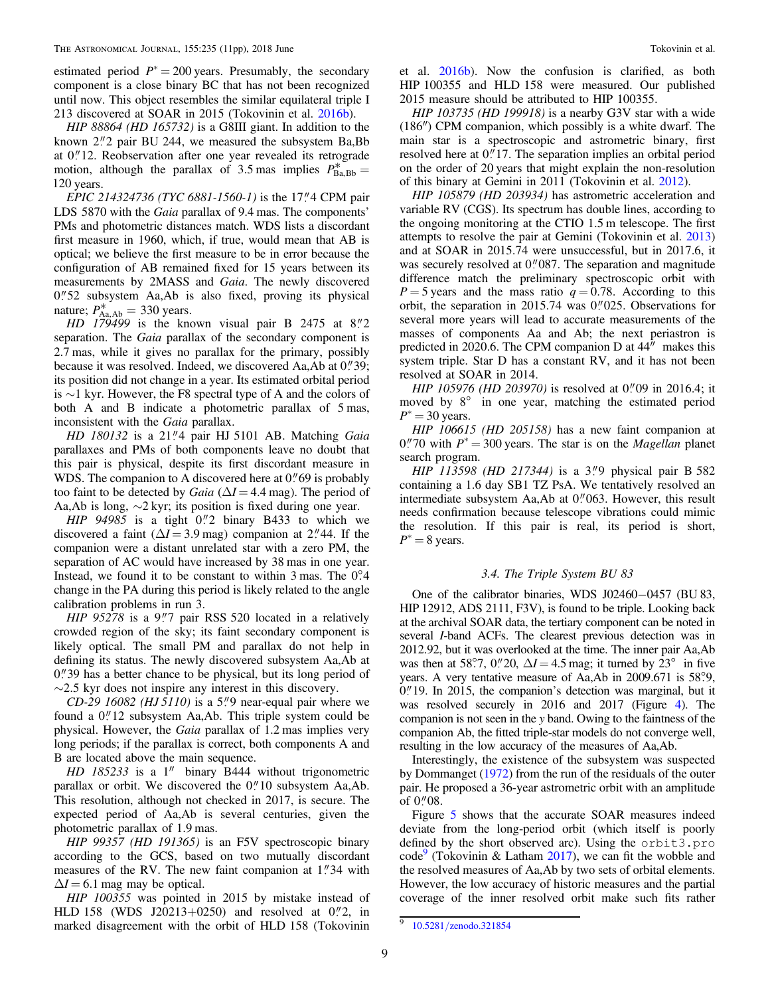<span id="page-8-0"></span>estimated period  $P^* = 200$  years. Presumably, the secondary component is a close binary BC that has not been recognized until now. This object resembles the similar equilateral triple I 213 discovered at SOAR in 2015 (Tokovinin et al. [2016b](#page-10-0)).

HIP 88864 (HD 165732) is a G8III giant. In addition to the known  $2\frac{1}{2}$  pair BU 244, we measured the subsystem Ba, Bb at 0."12. Reobservation after one year revealed its retrograde motion, although the parallax of 3.5 mas implies  $P_{\text{Ba,Bb}}^* =$ 120 years.

EPIC 214324736 (TYC 6881-1560-1) is the 17.<sup>11</sup>4 CPM pair LDS 5870 with the *Gaia* parallax of 9.4 mas. The components' PMs and photometric distances match. WDS lists a discordant first measure in 1960, which, if true, would mean that AB is optical; we believe the first measure to be in error because the configuration of AB remained fixed for 15 years between its measurements by 2MASS and Gaia. The newly discovered 0."52 subsystem Aa,Ab is also fixed, proving its physical nature;  $P_{\text{Aa,Ab}}^* = 330$  years.

HD  $179499$  is the known visual pair B 2475 at 8."2 separation. The Gaia parallax of the secondary component is 2.7 mas, while it gives no parallax for the primary, possibly because it was resolved. Indeed, we discovered Aa,Ab at 0."39; its position did not change in a year. Its estimated orbital period is ∼1 kyr. However, the F8 spectral type of A and the colors of both A and B indicate a photometric parallax of 5 mas, inconsistent with the *Gaia* parallax.

HD 180132 is a 21"4 pair HJ 5101 AB. Matching Gaia parallaxes and PMs of both components leave no doubt that this pair is physical, despite its first discordant measure in WDS. The companion to A discovered here at  $0$ ." $69$  is probably too faint to be detected by *Gaia* ( $\Delta I = 4.4$  mag). The period of Aa,Ab is long,  $\sim$ 2 kyr; its position is fixed during one year.

HIP  $94985$  is a tight  $0\frac{1}{2}$  binary B433 to which we discovered a faint ( $\Delta I = 3.9$  mag) companion at 2."44. If the companion were a distant unrelated star with a zero PM, the separation of AC would have increased by 38 mas in one year. Instead, we found it to be constant to within  $3 \text{ mas}$ . The  $0^\circ 4$ change in the PA during this period is likely related to the angle calibration problems in run 3.

HIP 95278 is a 9."7 pair RSS 520 located in a relatively crowded region of the sky; its faint secondary component is likely optical. The small PM and parallax do not help in defining its status. The newly discovered subsystem Aa,Ab at  $0$ .  $\frac{39}{9}$  has a better chance to be physical, but its long period of  $\sim$ 2.5 kyr does not inspire any interest in this discovery.

CD-29 16082 (HJ 5110) is a 5."9 near-equal pair where we found a  $0$ ."12 subsystem Aa,Ab. This triple system could be physical. However, the Gaia parallax of 1.2 mas implies very long periods; if the parallax is correct, both components A and B are located above the main sequence.

HD 185233 is a 1″ binary B444 without trigonometric parallax or orbit. We discovered the  $0$ ." 10 subsystem Aa,Ab. This resolution, although not checked in 2017, is secure. The expected period of Aa,Ab is several centuries, given the photometric parallax of 1.9 mas.

HIP 99357 (HD 191365) is an F5V spectroscopic binary according to the GCS, based on two mutually discordant measures of the RV. The new faint companion at  $1$ .  $34$  with  $\Delta I = 6.1$  mag may be optical.

HIP 100355 was pointed in 2015 by mistake instead of HLD 158 (WDS J20213+0250) and resolved at  $0\frac{1}{2}$ , in marked disagreement with the orbit of HLD 158 (Tokovinin

et al. [2016b](#page-10-0)). Now the confusion is clarified, as both HIP 100355 and HLD 158 were measured. Our published 2015 measure should be attributed to HIP 100355.

HIP 103735 (HD 199918) is a nearby G3V star with a wide (186″) CPM companion, which possibly is a white dwarf. The main star is a spectroscopic and astrometric binary, first resolved here at 0."17. The separation implies an orbital period on the order of 20 years that might explain the non-resolution of this binary at Gemini in 2011 (Tokovinin et al. [2012](#page-10-0)).

HIP 105879 (HD 203934) has astrometric acceleration and variable RV (CGS). Its spectrum has double lines, according to the ongoing monitoring at the CTIO 1.5 m telescope. The first attempts to resolve the pair at Gemini (Tokovinin et al. [2013](#page-10-0)) and at SOAR in 2015.74 were unsuccessful, but in 2017.6, it was securely resolved at  $0''087$ . The separation and magnitude difference match the preliminary spectroscopic orbit with  $P = 5$  years and the mass ratio  $q = 0.78$ . According to this orbit, the separation in 2015.74 was  $0''/025$ . Observations for several more years will lead to accurate measurements of the masses of components Aa and Ab; the next periastron is predicted in 2020.6. The CPM companion D at 44″ makes this system triple. Star D has a constant RV, and it has not been resolved at SOAR in 2014.

HIP 105976 (HD 203970) is resolved at  $0''$  09 in 2016.4; it moved by 8° in one year, matching the estimated period  $P^* = 30$  years.

HIP 106615 (HD 205158) has a new faint companion at 0.70 with  $P^* = 300$  years. The star is on the *Magellan* planet search program.

HIP 113598 (HD 217344) is a  $3\degree$ 9 physical pair B 582 containing a 1.6 day SB1 TZ PsA. We tentatively resolved an intermediate subsystem Aa,Ab at  $0$ ." $063$ . However, this result needs confirmation because telescope vibrations could mimic the resolution. If this pair is real, its period is short,  $P^* = 8$  years.

# 3.4. The Triple System BU 83

One of the calibrator binaries, WDS J02460−0457 (BU 83, HIP 12912, ADS 2111, F3V), is found to be triple. Looking back at the archival SOAR data, the tertiary component can be noted in several I-band ACFs. The clearest previous detection was in 2012.92, but it was overlooked at the time. The inner pair Aa,Ab was then at 58°.7, 0.<sup>"</sup> 20,  $\Delta I = 4.5$  mag; it turned by 23° in five years. A very tentative measure of Aa,Ab in 2009.671 is 58°.9,  $0''$  19. In 2015, the companion's detection was marginal, but it was resolved securely in 2016 and 2017 (Figure [4](#page-9-0)). The companion is not seen in the y band. Owing to the faintness of the companion Ab, the fitted triple-star models do not converge well, resulting in the low accuracy of the measures of Aa,Ab.

Interestingly, the existence of the subsystem was suspected by Dommanget ([1972](#page-9-0)) from the run of the residuals of the outer pair. He proposed a 36-year astrometric orbit with an amplitude of  $0''08$ .

Figure [5](#page-9-0) shows that the accurate SOAR measures indeed deviate from the long-period orbit (which itself is poorly defined by the short observed arc). Using the orbit3.pro code<sup>9</sup> (Tokovinin & Latham [2017](#page-10-0)), we can fit the wobble and the resolved measures of Aa,Ab by two sets of orbital elements. However, the low accuracy of historic measures and the partial coverage of the inner resolved orbit make such fits rather

<sup>9</sup> 10.5281/[zenodo.321854](https://doi.org/10.5281/zenodo.321854)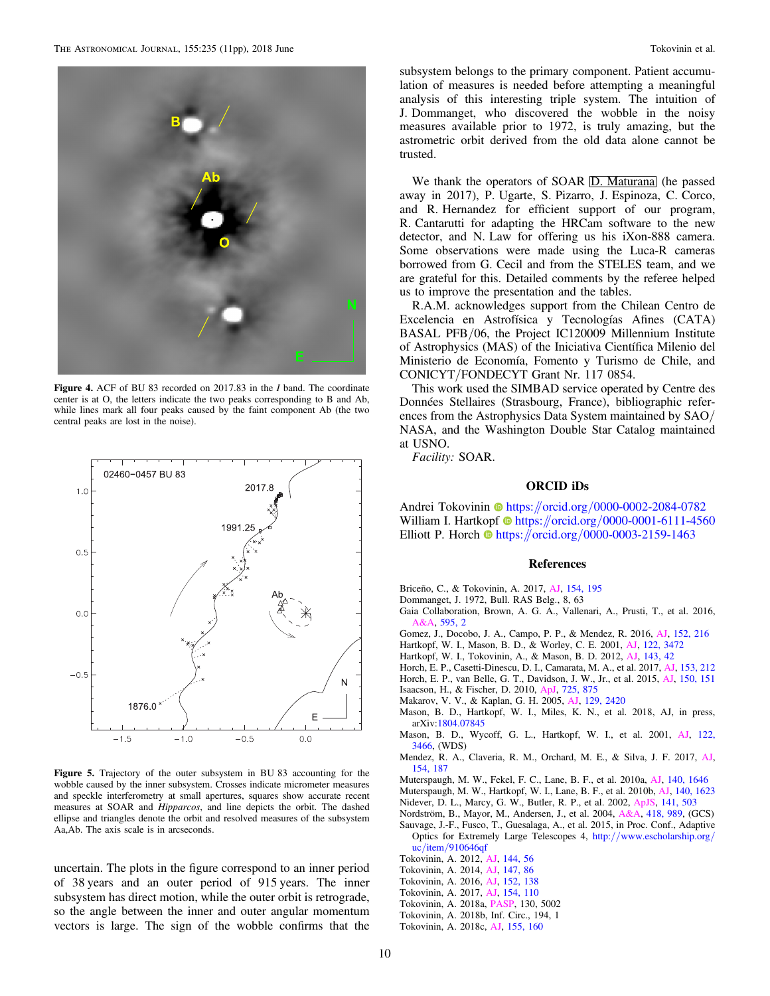<span id="page-9-0"></span>

Figure 4. ACF of BU 83 recorded on 2017.83 in the I band. The coordinate center is at O, the letters indicate the two peaks corresponding to B and Ab, while lines mark all four peaks caused by the faint component Ab (the two central peaks are lost in the noise).



Figure 5. Trajectory of the outer subsystem in BU 83 accounting for the wobble caused by the inner subsystem. Crosses indicate micrometer measures and speckle interferometry at small apertures, squares show accurate recent measures at SOAR and Hipparcos, and line depicts the orbit. The dashed ellipse and triangles denote the orbit and resolved measures of the subsystem Aa,Ab. The axis scale is in arcseconds.

uncertain. The plots in the figure correspond to an inner period of 38 years and an outer period of 915 years. The inner subsystem has direct motion, while the outer orbit is retrograde, so the angle between the inner and outer angular momentum vectors is large. The sign of the wobble confirms that the

subsystem belongs to the primary component. Patient accumulation of measures is needed before attempting a meaningful analysis of this interesting triple system. The intuition of J. Dommanget, who discovered the wobble in the noisy measures available prior to 1972, is truly amazing, but the astrometric orbit derived from the old data alone cannot be trusted.

We thank the operators of SOAR D. Maturana (he passed away in 2017), P. Ugarte, S. Pizarro, J. Espinoza, C. Corco, and R. Hernandez for efficient support of our program, R. Cantarutti for adapting the HRCam software to the new detector, and N. Law for offering us his iXon-888 camera. Some observations were made using the Luca-R cameras borrowed from G. Cecil and from the STELES team, and we are grateful for this. Detailed comments by the referee helped us to improve the presentation and the tables.

R.A.M. acknowledges support from the Chilean Centro de Excelencia en Astrofísica y Tecnologías Afines (CATA) BASAL PFB/06, the Project IC120009 Millennium Institute of Astrophysics (MAS) of the Iniciativa Científica Milenio del Ministerio de Economía, Fomento y Turismo de Chile, and CONICYT/FONDECYT Grant Nr. 117 0854.

This work used the SIMBAD service operated by Centre des Données Stellaires (Strasbourg, France), bibliographic references from the Astrophysics Data System maintained by SAO/ NASA, and the Washington Double Star Catalog maintained at USNO.

Facility: SOAR.

#### ORCID iDs

Andrei Tokovinin **[https:](https://orcid.org/0000-0002-2084-0782)//orcid.org/[0000-0002-2084-0782](https://orcid.org/0000-0002-2084-0782)** William I. Hartkop[f](https://orcid.org/0000-0001-6111-4560) **[https:](https://orcid.org/0000-0001-6111-4560)**//orcid.org/[0000-0001-6111-4560](https://orcid.org/0000-0001-6111-4560) Elliott P. Horch  $\bullet$  [https:](https://orcid.org/0000-0003-2159-1463)//orcid.org/[0000-0003-2159-1463](https://orcid.org/0000-0003-2159-1463)

#### References

- Briceño, C., & Tokovinin, A. 2017, [AJ,](https://doi.org/10.3847/1538-3881/aa8e9b) [154, 195](http://adsabs.harvard.edu/abs/2017AJ....154..195B)
- Dommanget, J. 1972, Bull. RAS Belg., 8, 63
- Gaia Collaboration, Brown, A. G. A., Vallenari, A., Prusti, T., et al. 2016, [A&A](https://doi.org/10.1051/0004-6361/201629512), [595, 2](http://adsabs.harvard.edu/abs/2016A&A...595A...2G)
- Gomez, J., Docobo, J. A., Campo, P. P., & Mendez, R. 2016, [AJ,](https://doi.org/10.3847/0004-6256/152/6/216) [152, 216](http://adsabs.harvard.edu/abs/2016AJ....152..216G)
- Hartkopf, W. I., Mason, B. D., & Worley, C. E. 2001, [AJ,](https://doi.org/10.1086/323921) [122, 3472](http://adsabs.harvard.edu/abs/2001AJ....122.3472H)
- Hartkopf, W. I., Tokovinin, A., & Mason, B. D. 2012, [AJ](https://doi.org/10.1088/0004-6256/143/2/42), [143, 42](http://adsabs.harvard.edu/abs/2012AJ....143...42H)
- Horch, E. P., Casetti-Dinescu, D. I., Camarata, M. A., et al. 2017, [AJ,](https://doi.org/10.3847/1538-3881/aa6749) [153, 212](http://adsabs.harvard.edu/abs/2017AJ....153..212H)
- Horch, E. P., van Belle, G. T., Davidson, J. W., Jr., et al. 2015, [AJ,](https://doi.org/10.1088/0004-6256/150/5/151) [150, 151](http://adsabs.harvard.edu/abs/2015AJ....150..151H)
- Isaacson, H., & Fischer, D. 2010, [ApJ](https://doi.org/10.1088/0004-637X/725/1/875), [725, 875](http://adsabs.harvard.edu/abs/2010ApJ...725..875I)
- Makarov, V. V., & Kaplan, G. H. 2005, [AJ](https://doi.org/10.1086/429590), [129, 2420](http://adsabs.harvard.edu/abs/2005AJ....129.2420M)
- Mason, B. D., Hartkopf, W. I., Miles, K. N., et al. 2018, AJ, in press, arXiv:[1804.07845](http://arXiv.org/abs/1804.07845)
- Mason, B. D., Wycoff, G. L., Hartkopf, W. I., et al. 2001, [AJ,](https://doi.org/10.1086/323920) [122,](http://adsabs.harvard.edu/abs/2001AJ....122.3466M) [3466,](http://adsabs.harvard.edu/abs/2001AJ....122.3466M) (WDS)
- Mendez, R. A., Claveria, R. M., Orchard, M. E., & Silva, J. F. 2017, [AJ](https://doi.org/10.3847/1538-3881/aa8d6f)[,](http://adsabs.harvard.edu/abs/2017AJ....154..187M) [154, 187](http://adsabs.harvard.edu/abs/2017AJ....154..187M)
- Muterspaugh, M. W., Fekel, F. C., Lane, B. F., et al. 2010a, [AJ](https://doi.org/10.1088/0004-6256/140/6/1646), [140, 1646](http://adsabs.harvard.edu/abs/2010AJ....140.1646M)
- Muterspaugh, M. W., Hartkopf, W. I., Lane, B. F., et al. 2010b, [AJ,](https://doi.org/10.1088/0004-6256/140/6/1623) [140, 1623](http://adsabs.harvard.edu/abs/2010AJ....140.1623M)
- Nidever, D. L., Marcy, G. W., Butler, R. P., et al. 2002, [ApJS](https://doi.org/10.1086/340570), [141, 503](http://adsabs.harvard.edu/abs/2002ApJS..141..503N)
- Nordström, B., Mayor, M., Andersen, J., et al. 2004, [A&A,](https://doi.org/10.1051/0004-6361:20035959) [418, 989,](http://adsabs.harvard.edu/abs/2004A&A...418..989N) (GCS)
- Sauvage, J.-F., Fusco, T., Guesalaga, A., et al. 2015, in Proc. Conf., Adaptive Optics for Extremely Large Telescopes 4, http://[www.escholarship.org](http://www.escholarship.org/uc/item/910646qf)/ uc/item/910646af
- Tokovinin, A. 2012, [AJ](https://doi.org/10.1088/0004-6256/144/2/56), [144, 56](http://adsabs.harvard.edu/abs/2012AJ....144...56T)
- Tokovinin, A. 2014, [AJ](https://doi.org/10.1088/0004-6256/147/4/86), [147, 86](http://adsabs.harvard.edu/abs/2014AJ....147...86T)
- Tokovinin, A. 2016, [AJ](https://doi.org/10.3847/0004-6256/152/5/138), [152, 138](http://adsabs.harvard.edu/abs/2016AJ....152..138T)
- Tokovinin, A. 2017, [AJ](https://doi.org/10.3847/1538-3881/aa8459), [154, 110](http://adsabs.harvard.edu/abs/2017AJ....154..110T)
- Tokovinin, A. 2018a, [PASP,](https://doi.org/10.1088/1538-3873/aaa7d9) 130, 5002
- Tokovinin, A. 2018b, Inf. Circ., 194, 1
- Tokovinin, A. 2018c, [AJ,](https://doi.org/10.3847/1538-3881/aab102) [155, 160](http://adsabs.harvard.edu/abs/2018AJ....155..160T)